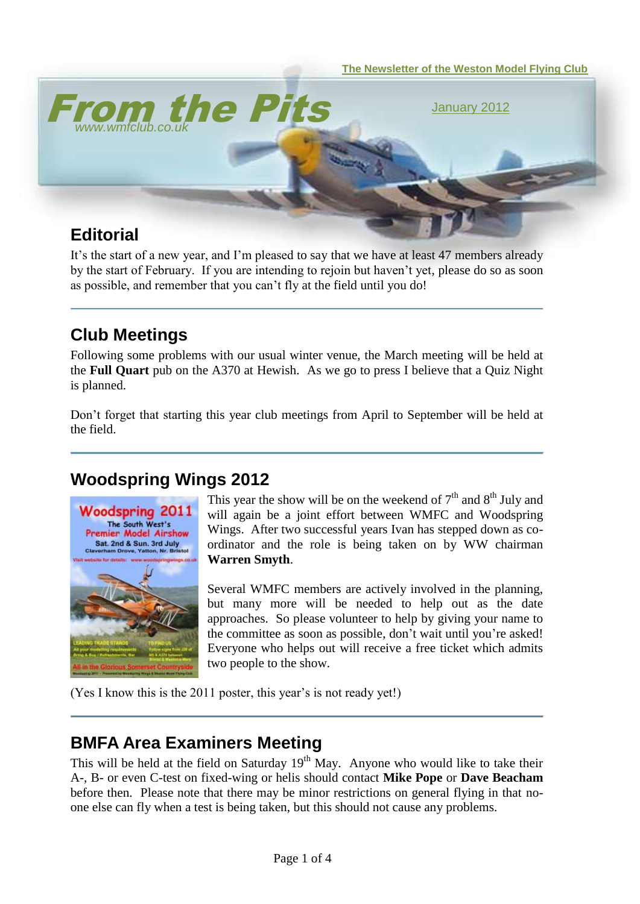

It's the start of a new year, and I'm pleased to say that we have at least 47 members already by the start of February. If you are intending to rejoin but haven't yet, please do so as soon as possible, and remember that you can't fly at the field until you do!

# **Club Meetings**

Following some problems with our usual winter venue, the March meeting will be held at the **Full Quart** pub on the A370 at Hewish. As we go to press I believe that a Quiz Night is planned.

Don't forget that starting this year club meetings from April to September will be held at the field.

## **Woodspring Wings 2012**



This year the show will be on the weekend of  $7<sup>th</sup>$  and  $8<sup>th</sup>$  July and will again be a joint effort between WMFC and Woodspring Wings. After two successful years Ivan has stepped down as coordinator and the role is being taken on by WW chairman **Warren Smyth**.

Several WMFC members are actively involved in the planning, but many more will be needed to help out as the date approaches. So please volunteer to help by giving your name to the committee as soon as possible, don't wait until you're asked! Everyone who helps out will receive a free ticket which admits two people to the show.

(Yes I know this is the 2011 poster, this year's is not ready yet!)

#### **BMFA Area Examiners Meeting**

This will be held at the field on Saturday  $19<sup>th</sup>$  May. Anyone who would like to take their A-, B- or even C-test on fixed-wing or helis should contact **Mike Pope** or **Dave Beacham** before then. Please note that there may be minor restrictions on general flying in that noone else can fly when a test is being taken, but this should not cause any problems.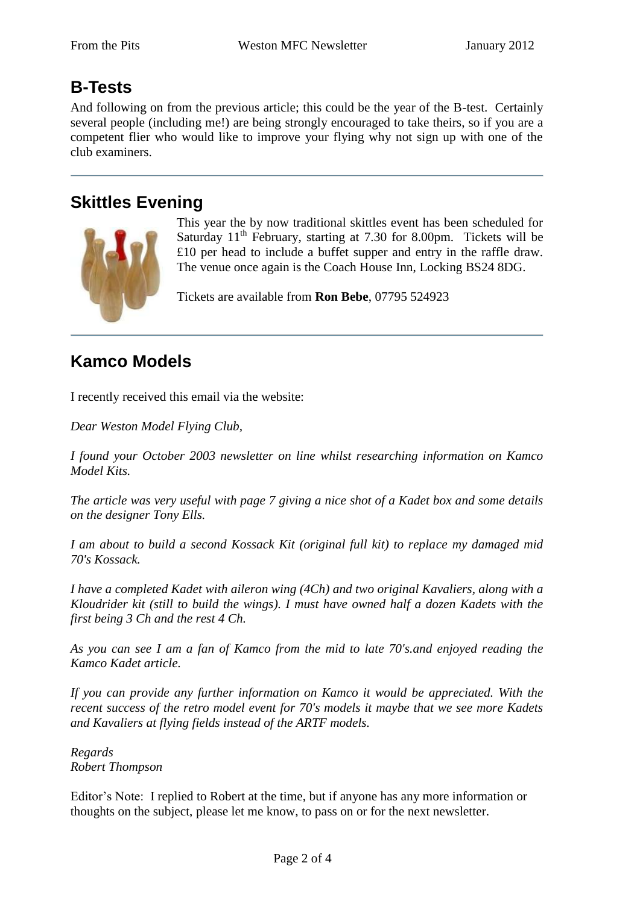## **B-Tests**

And following on from the previous article; this could be the year of the B-test. Certainly several people (including me!) are being strongly encouraged to take theirs, so if you are a competent flier who would like to improve your flying why not sign up with one of the club examiners.

## **Skittles Evening**



This year the by now traditional skittles event has been scheduled for Saturday  $11<sup>th</sup>$  February, starting at 7.30 for 8.00pm. Tickets will be £10 per head to include a buffet supper and entry in the raffle draw. The venue once again is the Coach House Inn, Locking BS24 8DG.

Tickets are available from **Ron Bebe**, 07795 524923

## **Kamco Models**

I recently received this email via the website:

*Dear Weston Model Flying Club,*

*I found your October 2003 newsletter on line whilst researching information on Kamco Model Kits.*

*The article was very useful with page 7 giving a nice shot of a Kadet box and some details on the designer Tony Ells.*

*I am about to build a second Kossack Kit (original full kit) to replace my damaged mid 70's Kossack.*

*I have a completed Kadet with aileron wing (4Ch) and two original Kavaliers, along with a Kloudrider kit (still to build the wings). I must have owned half a dozen Kadets with the first being 3 Ch and the rest 4 Ch.* 

*As you can see I am a fan of Kamco from the mid to late 70's.and enjoyed reading the Kamco Kadet article.*

*If you can provide any further information on Kamco it would be appreciated. With the recent success of the retro model event for 70's models it maybe that we see more Kadets and Kavaliers at flying fields instead of the ARTF models.*

*Regards Robert Thompson* 

Editor's Note: I replied to Robert at the time, but if anyone has any more information or thoughts on the subject, please let me know, to pass on or for the next newsletter.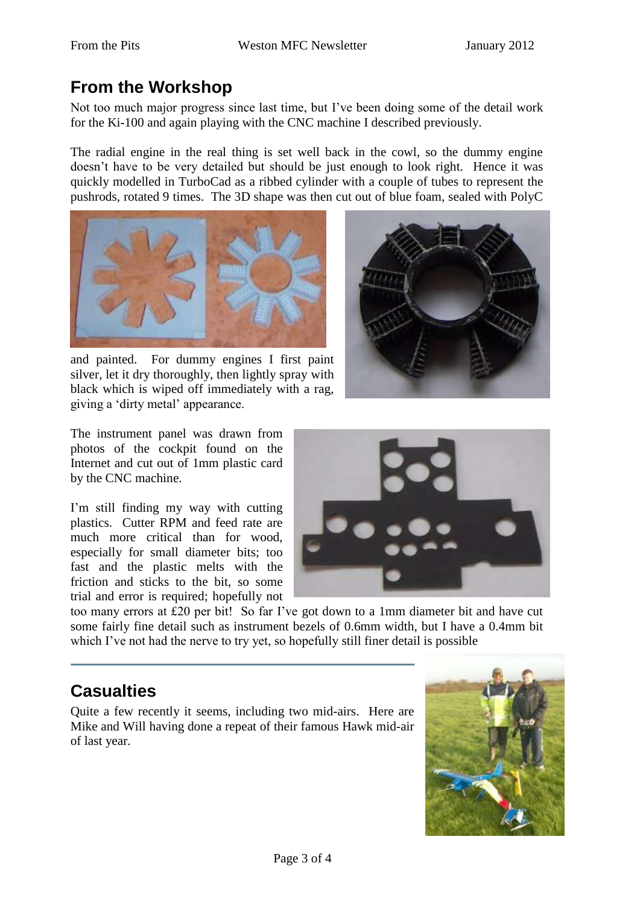## **From the Workshop**

Not too much major progress since last time, but I've been doing some of the detail work for the Ki-100 and again playing with the CNC machine I described previously.

The radial engine in the real thing is set well back in the cowl, so the dummy engine doesn't have to be very detailed but should be just enough to look right. Hence it was quickly modelled in TurboCad as a ribbed cylinder with a couple of tubes to represent the pushrods, rotated 9 times. The 3D shape was then cut out of blue foam, sealed with PolyC



and painted. For dummy engines I first paint silver, let it dry thoroughly, then lightly spray with black which is wiped off immediately with a rag, giving a 'dirty metal' appearance.



The instrument panel was drawn from photos of the cockpit found on the Internet and cut out of 1mm plastic card by the CNC machine.

I'm still finding my way with cutting plastics. Cutter RPM and feed rate are much more critical than for wood, especially for small diameter bits; too fast and the plastic melts with the friction and sticks to the bit, so some trial and error is required; hopefully not



too many errors at £20 per bit! So far I've got down to a 1mm diameter bit and have cut some fairly fine detail such as instrument bezels of 0.6mm width, but I have a 0.4mm bit which I've not had the nerve to try yet, so hopefully still finer detail is possible

#### **Casualties**

Quite a few recently it seems, including two mid-airs. Here are Mike and Will having done a repeat of their famous Hawk mid-air of last year.